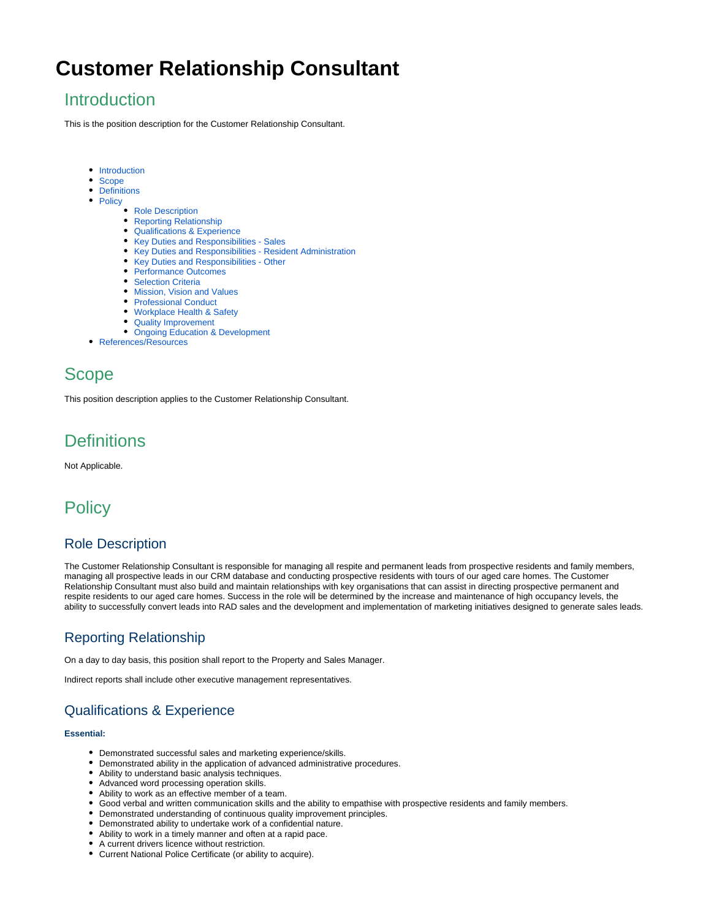# **Customer Relationship Consultant**

### <span id="page-0-0"></span>**Introduction**

This is the position description for the Customer Relationship Consultant.

- [Introduction](#page-0-0)
- [Scope](#page-0-1)
- [Definitions](#page-0-2)
- [Policy](#page-0-3)
	- [Role Description](#page-0-4)
	- [Reporting Relationship](#page-0-5)
	- [Qualifications & Experience](#page-0-6)
	- [Key Duties and Responsibilities Sales](#page-0-7)
	- [Key Duties and Responsibilities Resident Administration](#page-1-0)
	- [Key Duties and Responsibilities Other](#page-1-1)
	- [Performance Outcomes](#page-1-2)
	- [Selection Criteria](#page-1-3)
	- [Mission, Vision and Values](#page-1-4)
	- [Professional Conduct](#page-1-5)
	- [Workplace Health & Safety](#page-2-0)
	- [Quality Improvement](#page-2-1)
	- [Ongoing Education & Development](#page-2-2)
- [References/Resources](#page-2-3)

### <span id="page-0-1"></span>Scope

This position description applies to the Customer Relationship Consultant.

## <span id="page-0-2"></span>**Definitions**

Not Applicable.

### <span id="page-0-3"></span>**Policy**

#### <span id="page-0-4"></span>Role Description

The Customer Relationship Consultant is responsible for managing all respite and permanent leads from prospective residents and family members, managing all prospective leads in our CRM database and conducting prospective residents with tours of our aged care homes. The Customer Relationship Consultant must also build and maintain relationships with key organisations that can assist in directing prospective permanent and respite residents to our aged care homes. Success in the role will be determined by the increase and maintenance of high occupancy levels, the ability to successfully convert leads into RAD sales and the development and implementation of marketing initiatives designed to generate sales leads.

### <span id="page-0-5"></span>Reporting Relationship

On a day to day basis, this position shall report to the Property and Sales Manager.

Indirect reports shall include other executive management representatives.

### <span id="page-0-6"></span>Qualifications & Experience

#### **Essential:**

- Demonstrated successful sales and marketing experience/skills.
- Demonstrated ability in the application of advanced administrative procedures.
- Ability to understand basic analysis techniques.
- Advanced word processing operation skills.
- Ability to work as an effective member of a team.
- Good verbal and written communication skills and the ability to empathise with prospective residents and family members.
- Demonstrated understanding of continuous quality improvement principles.
- Demonstrated ability to undertake work of a confidential nature.
- Ability to work in a timely manner and often at a rapid pace.
- A current drivers licence without restriction.
- <span id="page-0-7"></span>Current National Police Certificate (or ability to acquire).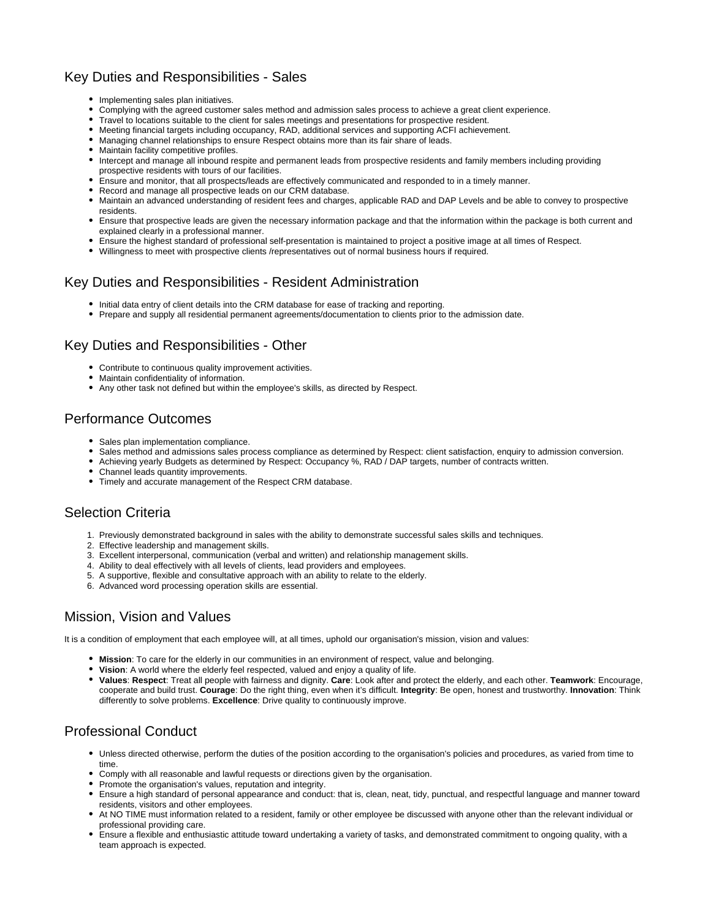### Key Duties and Responsibilities - Sales

- Implementing sales plan initiatives.
- Complying with the agreed customer sales method and admission sales process to achieve a great client experience.
- Travel to locations suitable to the client for sales meetings and presentations for prospective resident.
- Meeting financial targets including occupancy, RAD, additional services and supporting ACFI achievement.
- Managing channel relationships to ensure Respect obtains more than its fair share of leads.
- Maintain facility competitive profiles.
- Intercept and manage all inbound respite and permanent leads from prospective residents and family members including providing prospective residents with tours of our facilities.
- Ensure and monitor, that all prospects/leads are effectively communicated and responded to in a timely manner.
- Record and manage all prospective leads on our CRM database.
- Maintain an advanced understanding of resident fees and charges, applicable RAD and DAP Levels and be able to convey to prospective residents.
- Ensure that prospective leads are given the necessary information package and that the information within the package is both current and explained clearly in a professional manner.
- Ensure the highest standard of professional self-presentation is maintained to project a positive image at all times of Respect.
- Willingness to meet with prospective clients /representatives out of normal business hours if required.

#### <span id="page-1-0"></span>Key Duties and Responsibilities - Resident Administration

- $\bullet$  Initial data entry of client details into the CRM database for ease of tracking and reporting.
- Prepare and supply all residential permanent agreements/documentation to clients prior to the admission date.

#### <span id="page-1-1"></span>Key Duties and Responsibilities - Other

- Contribute to continuous quality improvement activities.
- Maintain confidentiality of information.
- Any other task not defined but within the employee's skills, as directed by Respect.

#### <span id="page-1-2"></span>Performance Outcomes

- Sales plan implementation compliance.
- Sales method and admissions sales process compliance as determined by Respect: client satisfaction, enquiry to admission conversion.
- $\bullet$ Achieving yearly Budgets as determined by Respect: Occupancy %, RAD / DAP targets, number of contracts written.
- Channel leads quantity improvements.
- Timely and accurate management of the Respect CRM database.

#### <span id="page-1-3"></span>Selection Criteria

- 1. Previously demonstrated background in sales with the ability to demonstrate successful sales skills and techniques.
- 2. Effective leadership and management skills.
- 3. Excellent interpersonal, communication (verbal and written) and relationship management skills.
- 4. Ability to deal effectively with all levels of clients, lead providers and employees.
- 5. A supportive, flexible and consultative approach with an ability to relate to the elderly.
- 6. Advanced word processing operation skills are essential.

#### <span id="page-1-4"></span>Mission, Vision and Values

It is a condition of employment that each employee will, at all times, uphold our organisation's mission, vision and values:

- **Mission**: To care for the elderly in our communities in an environment of respect, value and belonging.
- **Vision**: A world where the elderly feel respected, valued and enjoy a quality of life.
- **Values**: **Respect**: Treat all people with fairness and dignity. **Care**: Look after and protect the elderly, and each other. **Teamwork**: Encourage, cooperate and build trust. **Courage**: Do the right thing, even when it's difficult. **Integrity**: Be open, honest and trustworthy. **Innovation**: Think differently to solve problems. **Excellence**: Drive quality to continuously improve.

#### <span id="page-1-5"></span>Professional Conduct

- Unless directed otherwise, perform the duties of the position according to the organisation's policies and procedures, as varied from time to time
- Comply with all reasonable and lawful requests or directions given by the organisation.
- Promote the organisation's values, reputation and integrity.
- Ensure a high standard of personal appearance and conduct: that is, clean, neat, tidy, punctual, and respectful language and manner toward residents, visitors and other employees.
- At NO TIME must information related to a resident, family or other employee be discussed with anyone other than the relevant individual or professional providing care.
- Ensure a flexible and enthusiastic attitude toward undertaking a variety of tasks, and demonstrated commitment to ongoing quality, with a team approach is expected.